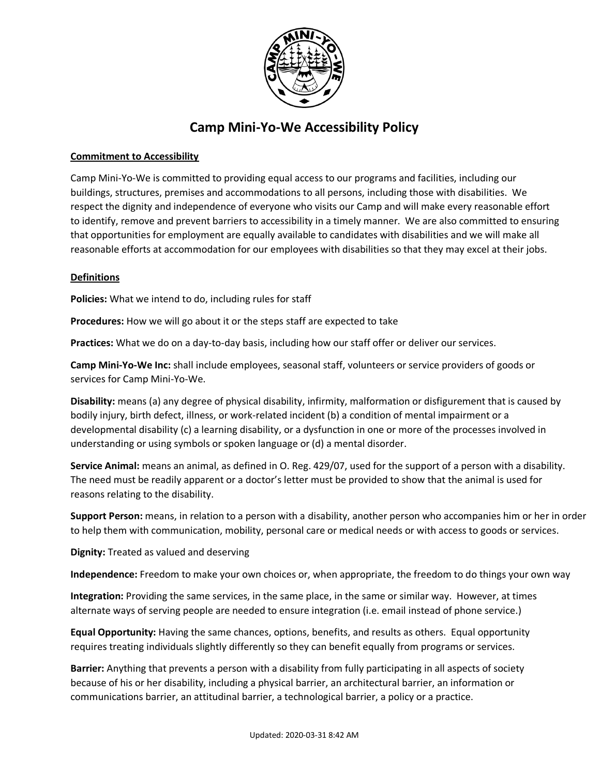

# **Camp Mini-Yo-We Accessibility Policy**

# **Commitment to Accessibility**

Camp Mini-Yo-We is committed to providing equal access to our programs and facilities, including our buildings, structures, premises and accommodations to all persons, including those with disabilities. We respect the dignity and independence of everyone who visits our Camp and will make every reasonable effort to identify, remove and prevent barriers to accessibility in a timely manner. We are also committed to ensuring that opportunities for employment are equally available to candidates with disabilities and we will make all reasonable efforts at accommodation for our employees with disabilities so that they may excel at their jobs.

# **Definitions**

**Policies:** What we intend to do, including rules for staff

**Procedures:** How we will go about it or the steps staff are expected to take

**Practices:** What we do on a day-to-day basis, including how our staff offer or deliver our services.

**Camp Mini-Yo-We Inc:** shall include employees, seasonal staff, volunteers or service providers of goods or services for Camp Mini-Yo-We.

**Disability:** means (a) any degree of physical disability, infirmity, malformation or disfigurement that is caused by bodily injury, birth defect, illness, or work-related incident (b) a condition of mental impairment or a developmental disability (c) a learning disability, or a dysfunction in one or more of the processes involved in understanding or using symbols or spoken language or (d) a mental disorder.

**Service Animal:** means an animal, as defined in O. Reg. 429/07, used for the support of a person with a disability. The need must be readily apparent or a doctor's letter must be provided to show that the animal is used for reasons relating to the disability.

**Support Person:** means, in relation to a person with a disability, another person who accompanies him or her in order to help them with communication, mobility, personal care or medical needs or with access to goods or services.

**Dignity:** Treated as valued and deserving

**Independence:** Freedom to make your own choices or, when appropriate, the freedom to do things your own way

**Integration:** Providing the same services, in the same place, in the same or similar way. However, at times alternate ways of serving people are needed to ensure integration (i.e. email instead of phone service.)

**Equal Opportunity:** Having the same chances, options, benefits, and results as others. Equal opportunity requires treating individuals slightly differently so they can benefit equally from programs or services.

**Barrier:** Anything that prevents a person with a disability from fully participating in all aspects of society because of his or her disability, including a physical barrier, an architectural barrier, an information or communications barrier, an attitudinal barrier, a technological barrier, a policy or a practice.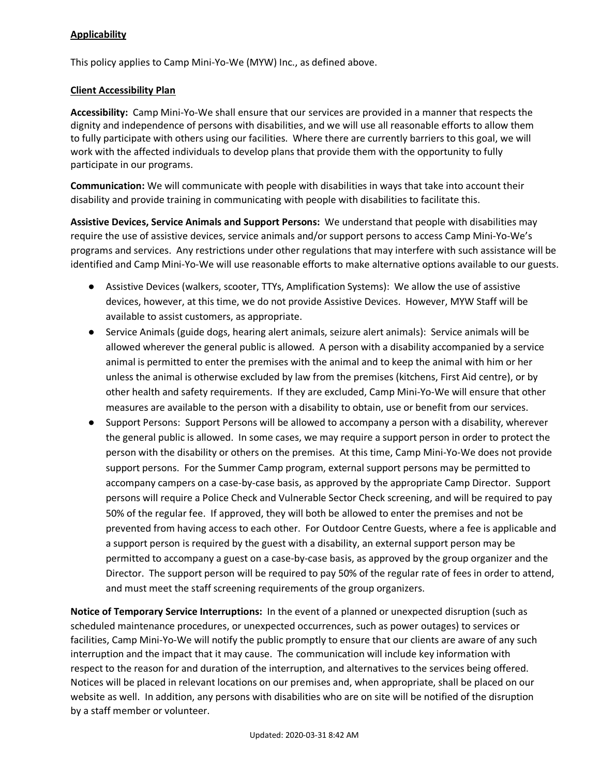## **Applicability**

This policy applies to Camp Mini-Yo-We (MYW) Inc., as defined above.

#### **Client Accessibility Plan**

**Accessibility:** Camp Mini-Yo-We shall ensure that our services are provided in a manner that respects the dignity and independence of persons with disabilities, and we will use all reasonable efforts to allow them to fully participate with others using our facilities. Where there are currently barriers to this goal, we will work with the affected individuals to develop plans that provide them with the opportunity to fully participate in our programs.

**Communication:** We will communicate with people with disabilities in ways that take into account their disability and provide training in communicating with people with disabilities to facilitate this.

**Assistive Devices, Service Animals and Support Persons:** We understand that people with disabilities may require the use of assistive devices, service animals and/or support persons to access Camp Mini-Yo-We's programs and services. Any restrictions under other regulations that may interfere with such assistance will be identified and Camp Mini-Yo-We will use reasonable efforts to make alternative options available to our guests.

- Assistive Devices (walkers, scooter, TTYs, Amplification Systems): We allow the use of assistive devices, however, at this time, we do not provide Assistive Devices. However, MYW Staff will be available to assist customers, as appropriate.
- Service Animals (guide dogs, hearing alert animals, seizure alert animals): Service animals will be allowed wherever the general public is allowed. A person with a disability accompanied by a service animal is permitted to enter the premises with the animal and to keep the animal with him or her unless the animal is otherwise excluded by law from the premises (kitchens, First Aid centre), or by other health and safety requirements. If they are excluded, Camp Mini-Yo-We will ensure that other measures are available to the person with a disability to obtain, use or benefit from our services.
- Support Persons: Support Persons will be allowed to accompany a person with a disability, wherever the general public is allowed. In some cases, we may require a support person in order to protect the person with the disability or others on the premises. At this time, Camp Mini-Yo-We does not provide support persons. For the Summer Camp program, external support persons may be permitted to accompany campers on a case-by-case basis, as approved by the appropriate Camp Director. Support persons will require a Police Check and Vulnerable Sector Check screening, and will be required to pay 50% of the regular fee. If approved, they will both be allowed to enter the premises and not be prevented from having access to each other. For Outdoor Centre Guests, where a fee is applicable and a support person is required by the guest with a disability, an external support person may be permitted to accompany a guest on a case-by-case basis, as approved by the group organizer and the Director. The support person will be required to pay 50% of the regular rate of fees in order to attend, and must meet the staff screening requirements of the group organizers.

**Notice of Temporary Service Interruptions:** In the event of a planned or unexpected disruption (such as scheduled maintenance procedures, or unexpected occurrences, such as power outages) to services or facilities, Camp Mini-Yo-We will notify the public promptly to ensure that our clients are aware of any such interruption and the impact that it may cause. The communication will include key information with respect to the reason for and duration of the interruption, and alternatives to the services being offered. Notices will be placed in relevant locations on our premises and, when appropriate, shall be placed on our website as well. In addition, any persons with disabilities who are on site will be notified of the disruption by a staff member or volunteer.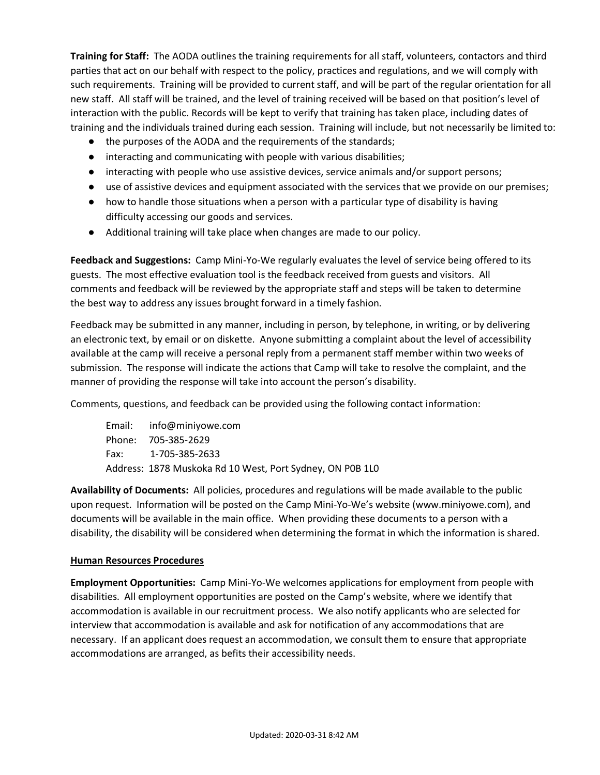**Training for Staff:** The AODA outlines the training requirements for all staff, volunteers, contactors and third parties that act on our behalf with respect to the policy, practices and regulations, and we will comply with such requirements. Training will be provided to current staff, and will be part of the regular orientation for all new staff. All staff will be trained, and the level of training received will be based on that position's level of interaction with the public. Records will be kept to verify that training has taken place, including dates of training and the individuals trained during each session. Training will include, but not necessarily be limited to:

- the purposes of the AODA and the requirements of the standards;
- interacting and communicating with people with various disabilities;
- interacting with people who use assistive devices, service animals and/or support persons;
- use of assistive devices and equipment associated with the services that we provide on our premises;
- how to handle those situations when a person with a particular type of disability is having difficulty accessing our goods and services.
- Additional training will take place when changes are made to our policy.

**Feedback and Suggestions:** Camp Mini-Yo-We regularly evaluates the level of service being offered to its guests. The most effective evaluation tool is the feedback received from guests and visitors. All comments and feedback will be reviewed by the appropriate staff and steps will be taken to determine the best way to address any issues brought forward in a timely fashion.

Feedback may be submitted in any manner, including in person, by telephone, in writing, or by delivering an electronic text, by email or on diskette. Anyone submitting a complaint about the level of accessibility available at the camp will receive a personal reply from a permanent staff member within two weeks of submission. The response will indicate the actions that Camp will take to resolve the complaint, and the manner of providing the response will take into account the person's disability.

Comments, questions, and feedback can be provided using the following contact information:

Email: info@miniyowe.com Phone: 705-385-2629 Fax: 1-705-385-2633 Address: 1878 Muskoka Rd 10 West, Port Sydney, ON P0B 1L0

**Availability of Documents:** All policies, procedures and regulations will be made available to the public upon request. Information will be posted on the Camp Mini-Yo-We's website (www.miniyowe.com), and documents will be available in the main office. When providing these documents to a person with a disability, the disability will be considered when determining the format in which the information is shared.

## **Human Resources Procedures**

**Employment Opportunities:** Camp Mini-Yo-We welcomes applications for employment from people with disabilities. All employment opportunities are posted on the Camp's website, where we identify that accommodation is available in our recruitment process. We also notify applicants who are selected for interview that accommodation is available and ask for notification of any accommodations that are necessary. If an applicant does request an accommodation, we consult them to ensure that appropriate accommodations are arranged, as befits their accessibility needs.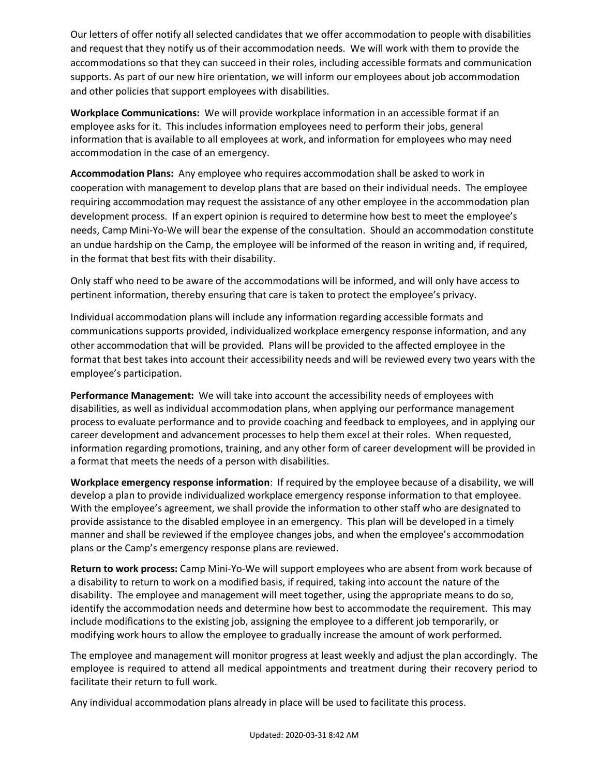Our letters of offer notify all selected candidates that we offer accommodation to people with disabilities and request that they notify us of their accommodation needs. We will work with them to provide the accommodations so that they can succeed in their roles, including accessible formats and communication supports. As part of our new hire orientation, we will inform our employees about job accommodation and other policies that support employees with disabilities.

**Workplace Communications:** We will provide workplace information in an accessible format if an employee asks for it. This includes information employees need to perform their jobs, general information that is available to all employees at work, and information for employees who may need accommodation in the case of an emergency.

**Accommodation Plans:** Any employee who requires accommodation shall be asked to work in cooperation with management to develop plans that are based on their individual needs. The employee requiring accommodation may request the assistance of any other employee in the accommodation plan development process. If an expert opinion is required to determine how best to meet the employee's needs, Camp Mini-Yo-We will bear the expense of the consultation. Should an accommodation constitute an undue hardship on the Camp, the employee will be informed of the reason in writing and, if required, in the format that best fits with their disability.

Only staff who need to be aware of the accommodations will be informed, and will only have access to pertinent information, thereby ensuring that care is taken to protect the employee's privacy.

Individual accommodation plans will include any information regarding accessible formats and communications supports provided, individualized workplace emergency response information, and any other accommodation that will be provided. Plans will be provided to the affected employee in the format that best takes into account their accessibility needs and will be reviewed every two years with the employee's participation.

**Performance Management:** We will take into account the accessibility needs of employees with disabilities, as well as individual accommodation plans, when applying our performance management process to evaluate performance and to provide coaching and feedback to employees, and in applying our career development and advancement processes to help them excel at their roles. When requested, information regarding promotions, training, and any other form of career development will be provided in a format that meets the needs of a person with disabilities.

**Workplace emergency response information**: If required by the employee because of a disability, we will develop a plan to provide individualized workplace emergency response information to that employee. With the employee's agreement, we shall provide the information to other staff who are designated to provide assistance to the disabled employee in an emergency. This plan will be developed in a timely manner and shall be reviewed if the employee changes jobs, and when the employee's accommodation plans or the Camp's emergency response plans are reviewed.

**Return to work process:** Camp Mini-Yo-We will support employees who are absent from work because of a disability to return to work on a modified basis, if required, taking into account the nature of the disability. The employee and management will meet together, using the appropriate means to do so, identify the accommodation needs and determine how best to accommodate the requirement. This may include modifications to the existing job, assigning the employee to a different job temporarily, or modifying work hours to allow the employee to gradually increase the amount of work performed.

The employee and management will monitor progress at least weekly and adjust the plan accordingly. The employee is required to attend all medical appointments and treatment during their recovery period to facilitate their return to full work.

Any individual accommodation plans already in place will be used to facilitate this process.